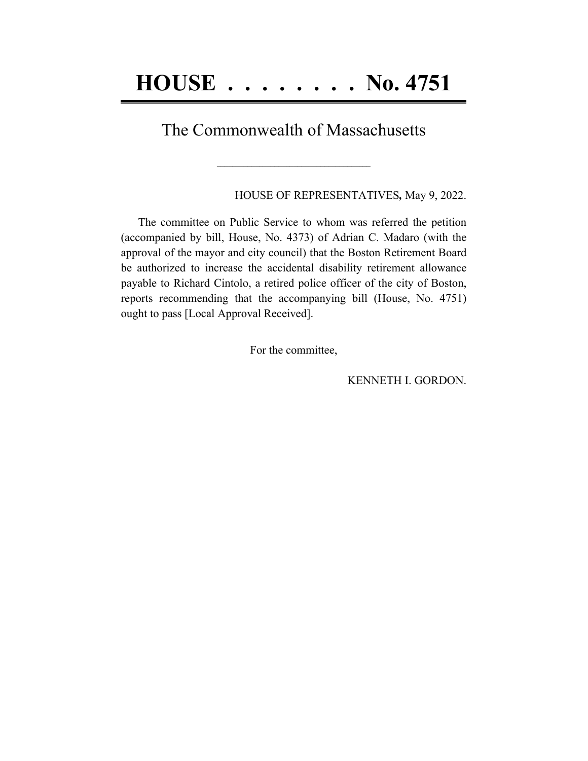## The Commonwealth of Massachusetts

**\_\_\_\_\_\_\_\_\_\_\_\_\_\_\_\_\_\_\_\_\_\_\_\_\_\_\_\_\_\_\_\_\_\_\_\_\_\_\_\_**

HOUSE OF REPRESENTATIVES*,* May 9, 2022.

The committee on Public Service to whom was referred the petition (accompanied by bill, House, No. 4373) of Adrian C. Madaro (with the approval of the mayor and city council) that the Boston Retirement Board be authorized to increase the accidental disability retirement allowance payable to Richard Cintolo, a retired police officer of the city of Boston, reports recommending that the accompanying bill (House, No. 4751) ought to pass [Local Approval Received].

For the committee,

KENNETH I. GORDON.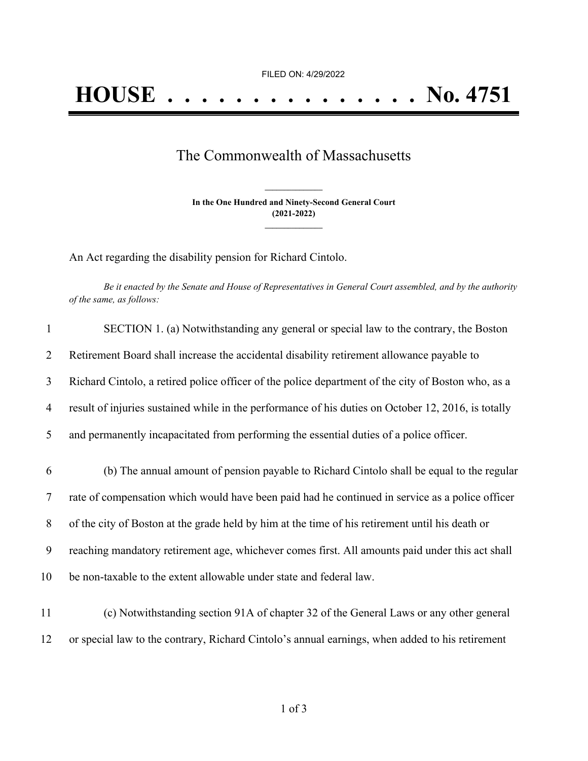## The Commonwealth of Massachusetts

**In the One Hundred and Ninety-Second General Court (2021-2022) \_\_\_\_\_\_\_\_\_\_\_\_\_\_\_**

**\_\_\_\_\_\_\_\_\_\_\_\_\_\_\_**

An Act regarding the disability pension for Richard Cintolo.

Be it enacted by the Senate and House of Representatives in General Court assembled, and by the authority *of the same, as follows:*

| $\mathbf{1}$    | SECTION 1. (a) Notwithstanding any general or special law to the contrary, the Boston               |
|-----------------|-----------------------------------------------------------------------------------------------------|
| 2               | Retirement Board shall increase the accidental disability retirement allowance payable to           |
| 3               | Richard Cintolo, a retired police officer of the police department of the city of Boston who, as a  |
| 4               | result of injuries sustained while in the performance of his duties on October 12, 2016, is totally |
| 5               | and permanently incapacitated from performing the essential duties of a police officer.             |
| 6               | (b) The annual amount of pension payable to Richard Cintolo shall be equal to the regular           |
| $7\phantom{.0}$ | rate of compensation which would have been paid had he continued in service as a police officer     |
| 8               | of the city of Boston at the grade held by him at the time of his retirement until his death or     |
| 9               | reaching mandatory retirement age, whichever comes first. All amounts paid under this act shall     |
| 10              | be non-taxable to the extent allowable under state and federal law.                                 |
| 11              | (c) Notwithstanding section 91A of chapter 32 of the General Laws or any other general              |
| 12              | or special law to the contrary, Richard Cintolo's annual earnings, when added to his retirement     |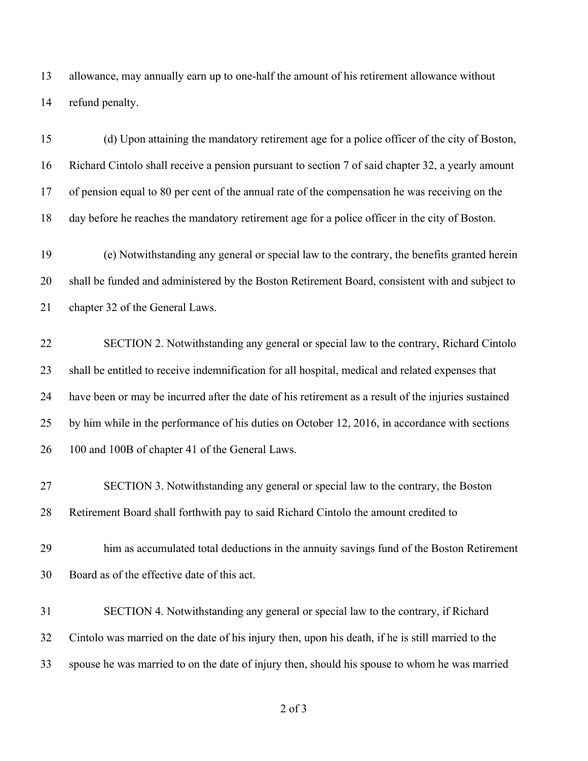allowance, may annually earn up to one-half the amount of his retirement allowance without refund penalty.

 (d) Upon attaining the mandatory retirement age for a police officer of the city of Boston, Richard Cintolo shall receive a pension pursuant to section 7 of said chapter 32, a yearly amount of pension equal to 80 per cent of the annual rate of the compensation he was receiving on the day before he reaches the mandatory retirement age for a police officer in the city of Boston.

 (e) Notwithstanding any general or special law to the contrary, the benefits granted herein shall be funded and administered by the Boston Retirement Board, consistent with and subject to chapter 32 of the General Laws.

 SECTION 2. Notwithstanding any general or special law to the contrary, Richard Cintolo shall be entitled to receive indemnification for all hospital, medical and related expenses that have been or may be incurred after the date of his retirement as a result of the injuries sustained by him while in the performance of his duties on October 12, 2016, in accordance with sections 26 100 and 100B of chapter 41 of the General Laws.

 SECTION 3. Notwithstanding any general or special law to the contrary, the Boston Retirement Board shall forthwith pay to said Richard Cintolo the amount credited to

 him as accumulated total deductions in the annuity savings fund of the Boston Retirement Board as of the effective date of this act.

 SECTION 4. Notwithstanding any general or special law to the contrary, if Richard Cintolo was married on the date of his injury then, upon his death, if he is still married to the spouse he was married to on the date of injury then, should his spouse to whom he was married

of 3